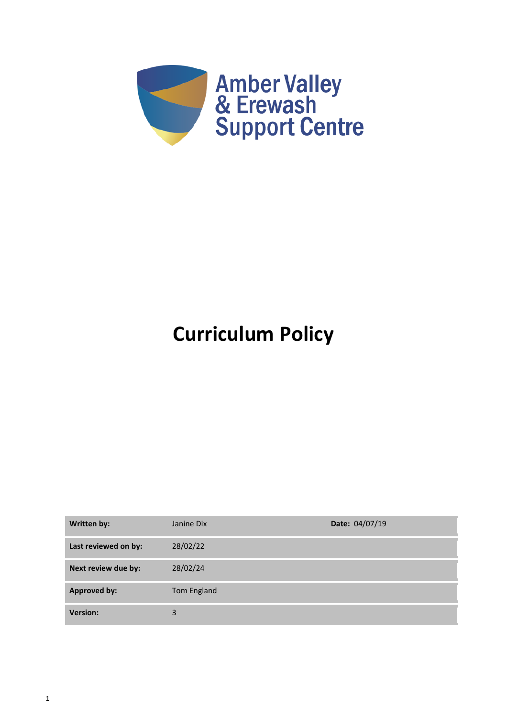

# **Curriculum Policy**

| Written by:          | Janine Dix  | Date: 04/07/19 |
|----------------------|-------------|----------------|
| Last reviewed on by: | 28/02/22    |                |
| Next review due by:  | 28/02/24    |                |
| <b>Approved by:</b>  | Tom England |                |
| <b>Version:</b>      | 3           |                |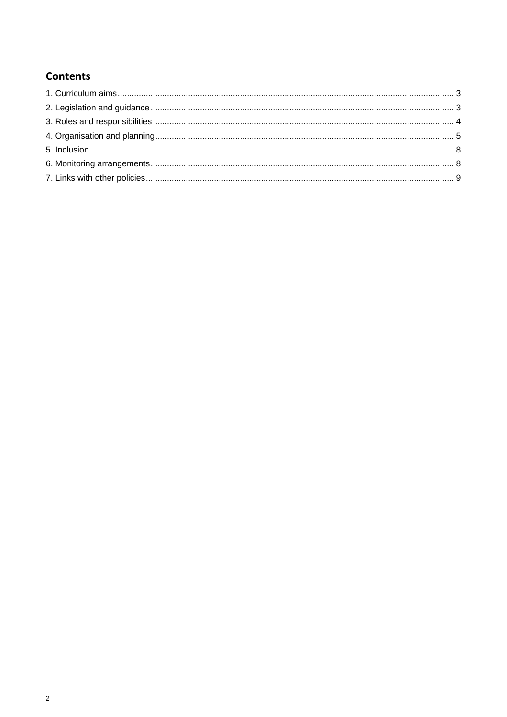# **Contents**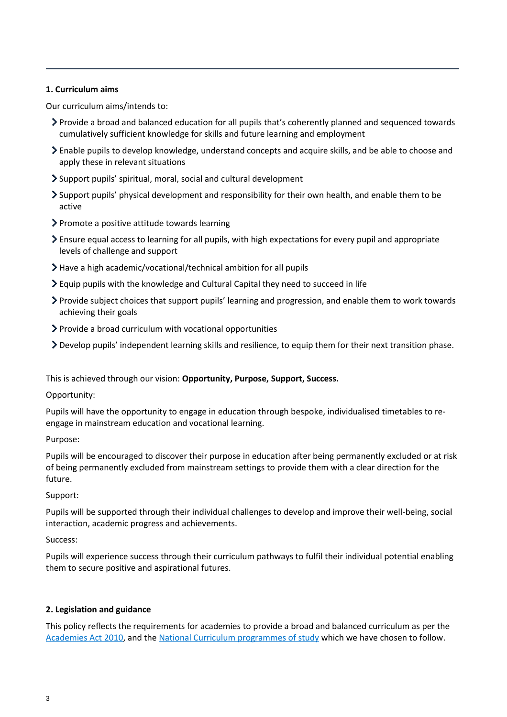## <span id="page-2-0"></span>**1. Curriculum aims**

Our curriculum aims/intends to:

- Provide a broad and balanced education for all pupils that's coherently planned and sequenced towards cumulatively sufficient knowledge for skills and future learning and employment
- Enable pupils to develop knowledge, understand concepts and acquire skills, and be able to choose and apply these in relevant situations
- Support pupils' spiritual, moral, social and cultural development
- Support pupils' physical development and responsibility for their own health, and enable them to be active
- $\triangleright$  Promote a positive attitude towards learning
- Ensure equal access to learning for all pupils, with high expectations for every pupil and appropriate levels of challenge and support
- Have a high academic/vocational/technical ambition for all pupils
- Equip pupils with the knowledge and Cultural Capital they need to succeed in life
- Provide subject choices that support pupils' learning and progression, and enable them to work towards achieving their goals
- Provide a broad curriculum with vocational opportunities
- Develop pupils' independent learning skills and resilience, to equip them for their next transition phase.

This is achieved through our vision: **Opportunity, Purpose, Support, Success.**

Opportunity:

Pupils will have the opportunity to engage in education through bespoke, individualised timetables to reengage in mainstream education and vocational learning.

Purpose:

Pupils will be encouraged to discover their purpose in education after being permanently excluded or at risk of being permanently excluded from mainstream settings to provide them with a clear direction for the future.

Support:

Pupils will be supported through their individual challenges to develop and improve their well-being, social interaction, academic progress and achievements.

Success:

Pupils will experience success through their curriculum pathways to fulfil their individual potential enabling them to secure positive and aspirational futures.

# <span id="page-2-1"></span>**2. Legislation and guidance**

This policy reflects the requirements for academies to provide a broad and balanced curriculum as per the [Academies Act 2010,](http://www.legislation.gov.uk/ukpga/2010/32/section/1A) and the [National Curriculum programmes of study](https://www.gov.uk/government/collections/national-curriculum) which we have chosen to follow.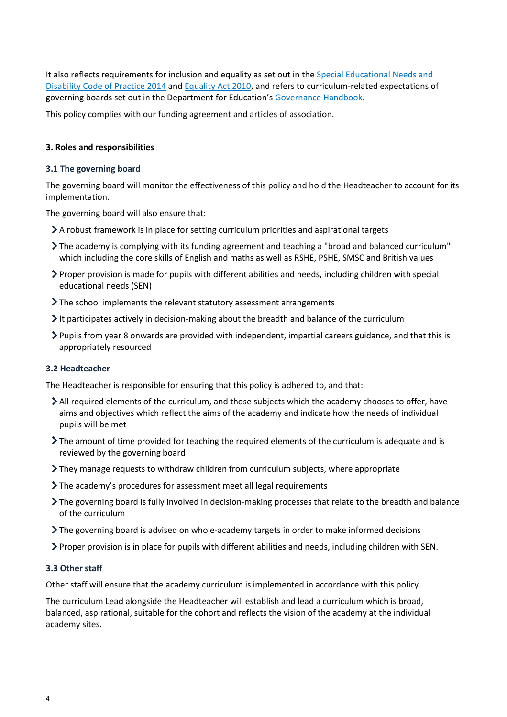It also reflects requirements for inclusion and equality as set out in the Special Educational Needs and [Disability Code of Practice 2014](https://www.gov.uk/government/publications/send-code-of-practice-0-to-25) an[d Equality Act 2010,](http://www.legislation.gov.uk/ukpga/2010/15/part/6/chapter/1) and refers to curriculum-related expectations of governing boards set out in the Department for Education's [Governance Handbook.](https://www.gov.uk/government/publications/governance-handbook)

This policy complies with our funding agreement and articles of association.

#### <span id="page-3-0"></span>**3. Roles and responsibilities**

#### **3.1 The governing board**

The governing board will monitor the effectiveness of this policy and hold the Headteacher to account for its implementation.

The governing board will also ensure that:

- A robust framework is in place for setting curriculum priorities and aspirational targets
- The academy is complying with its funding agreement and teaching a "broad and balanced curriculum" which including the core skills of English and maths as well as RSHE, PSHE, SMSC and British values
- Proper provision is made for pupils with different abilities and needs, including children with special educational needs (SEN)
- If the school implements the relevant statutory assessment arrangements
- It participates actively in decision-making about the breadth and balance of the curriculum
- Pupils from year 8 onwards are provided with independent, impartial careers guidance, and that this is appropriately resourced

#### **3.2 Headteacher**

The Headteacher is responsible for ensuring that this policy is adhered to, and that:

- All required elements of the curriculum, and those subjects which the academy chooses to offer, have aims and objectives which reflect the aims of the academy and indicate how the needs of individual pupils will be met
- The amount of time provided for teaching the required elements of the curriculum is adequate and is reviewed by the governing board
- They manage requests to withdraw children from curriculum subjects, where appropriate
- The academy's procedures for assessment meet all legal requirements
- The governing board is fully involved in decision-making processes that relate to the breadth and balance of the curriculum
- The governing board is advised on whole-academy targets in order to make informed decisions
- Proper provision is in place for pupils with different abilities and needs, including children with SEN.

#### **3.3 Other staff**

Other staff will ensure that the academy curriculum is implemented in accordance with this policy.

The curriculum Lead alongside the Headteacher will establish and lead a curriculum which is broad, balanced, aspirational, suitable for the cohort and reflects the vision of the academy at the individual academy sites.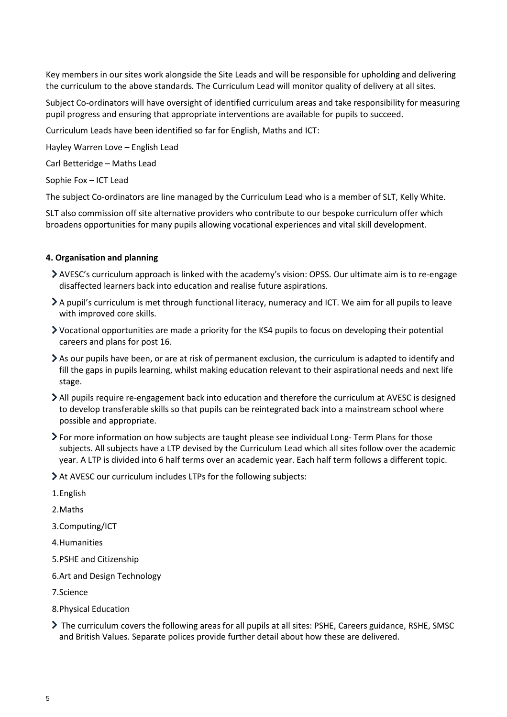Key members in our sites work alongside the Site Leads and will be responsible for upholding and delivering the curriculum to the above standards*.* The Curriculum Lead will monitor quality of delivery at all sites.

Subject Co-ordinators will have oversight of identified curriculum areas and take responsibility for measuring pupil progress and ensuring that appropriate interventions are available for pupils to succeed.

Curriculum Leads have been identified so far for English, Maths and ICT:

Hayley Warren Love – English Lead

Carl Betteridge – Maths Lead

Sophie Fox – ICT Lead

The subject Co-ordinators are line managed by the Curriculum Lead who is a member of SLT, Kelly White.

SLT also commission off site alternative providers who contribute to our bespoke curriculum offer which broadens opportunities for many pupils allowing vocational experiences and vital skill development.

#### <span id="page-4-0"></span>**4. Organisation and planning**

- AVESC's curriculum approach is linked with the academy's vision: OPSS. Our ultimate aim is to re-engage disaffected learners back into education and realise future aspirations.
- A pupil's curriculum is met through functional literacy, numeracy and ICT. We aim for all pupils to leave with improved core skills.
- Vocational opportunities are made a priority for the KS4 pupils to focus on developing their potential careers and plans for post 16.
- As our pupils have been, or are at risk of permanent exclusion, the curriculum is adapted to identify and fill the gaps in pupils learning, whilst making education relevant to their aspirational needs and next life stage.
- All pupils require re-engagement back into education and therefore the curriculum at AVESC is designed to develop transferable skills so that pupils can be reintegrated back into a mainstream school where possible and appropriate.
- For more information on how subjects are taught please see individual Long- Term Plans for those subjects. All subjects have a LTP devised by the Curriculum Lead which all sites follow over the academic year. A LTP is divided into 6 half terms over an academic year. Each half term follows a different topic.
- At AVESC our curriculum includes LTPs for the following subjects:
- 1.English

2.Maths

3.Computing/ICT

4.Humanities

- 5.PSHE and Citizenship
- 6.Art and Design Technology

7.Science

- 8.Physical Education
- ▶ The curriculum covers the following areas for all pupils at all sites: PSHE, Careers guidance, RSHE, SMSC and British Values. Separate polices provide further detail about how these are delivered.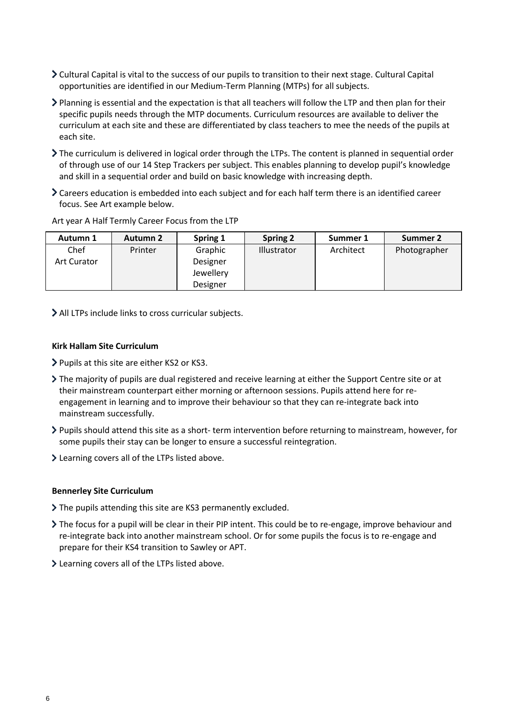- Cultural Capital is vital to the success of our pupils to transition to their next stage. Cultural Capital opportunities are identified in our Medium-Term Planning (MTPs) for all subjects.
- Planning is essential and the expectation is that all teachers will follow the LTP and then plan for their specific pupils needs through the MTP documents. Curriculum resources are available to deliver the curriculum at each site and these are differentiated by class teachers to mee the needs of the pupils at each site.
- The curriculum is delivered in logical order through the LTPs. The content is planned in sequential order of through use of our 14 Step Trackers per subject. This enables planning to develop pupil's knowledge and skill in a sequential order and build on basic knowledge with increasing depth.
- Careers education is embedded into each subject and for each half term there is an identified career focus. See Art example below.

| Autumn 1           | <b>Autumn 2</b> | Spring 1  | <b>Spring 2</b> | Summer 1  | Summer 2     |
|--------------------|-----------------|-----------|-----------------|-----------|--------------|
| Chef               | Printer         | Graphic   | Illustrator     | Architect | Photographer |
| <b>Art Curator</b> |                 | Designer  |                 |           |              |
|                    |                 | Jewellery |                 |           |              |
|                    |                 | Designer  |                 |           |              |

Art year A Half Termly Career Focus from the LTP

All LTPs include links to cross curricular subjects.

#### **Kirk Hallam Site Curriculum**

- Pupils at this site are either KS2 or KS3.
- The majority of pupils are dual registered and receive learning at either the Support Centre site or at their mainstream counterpart either morning or afternoon sessions. Pupils attend here for reengagement in learning and to improve their behaviour so that they can re-integrate back into mainstream successfully.
- Pupils should attend this site as a short- term intervention before returning to mainstream, however, for some pupils their stay can be longer to ensure a successful reintegration.
- Learning covers all of the LTPs listed above.

#### **Bennerley Site Curriculum**

- The pupils attending this site are KS3 permanently excluded.
- The focus for a pupil will be clear in their PIP intent. This could be to re-engage, improve behaviour and re-integrate back into another mainstream school. Or for some pupils the focus is to re-engage and prepare for their KS4 transition to Sawley or APT.
- Learning covers all of the LTPs listed above.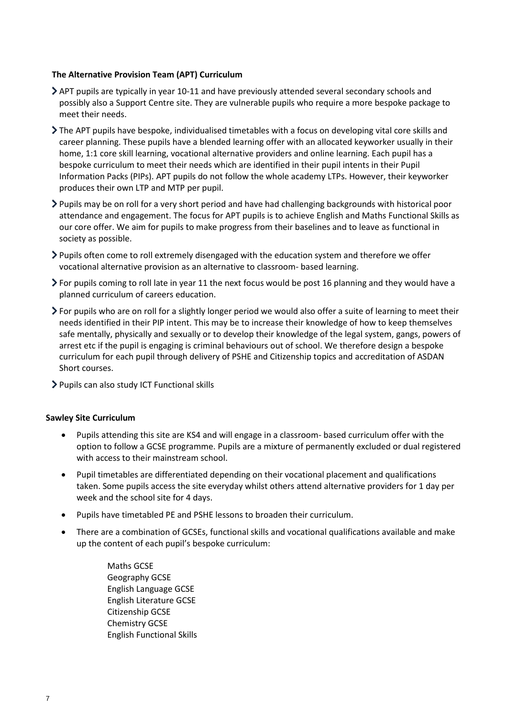#### **The Alternative Provision Team (APT) Curriculum**

- APT pupils are typically in year 10-11 and have previously attended several secondary schools and possibly also a Support Centre site. They are vulnerable pupils who require a more bespoke package to meet their needs.
- The APT pupils have bespoke, individualised timetables with a focus on developing vital core skills and career planning. These pupils have a blended learning offer with an allocated keyworker usually in their home, 1:1 core skill learning, vocational alternative providers and online learning. Each pupil has a bespoke curriculum to meet their needs which are identified in their pupil intents in their Pupil Information Packs (PIPs). APT pupils do not follow the whole academy LTPs. However, their keyworker produces their own LTP and MTP per pupil.
- Pupils may be on roll for a very short period and have had challenging backgrounds with historical poor attendance and engagement. The focus for APT pupils is to achieve English and Maths Functional Skills as our core offer. We aim for pupils to make progress from their baselines and to leave as functional in society as possible.
- Pupils often come to roll extremely disengaged with the education system and therefore we offer vocational alternative provision as an alternative to classroom- based learning.
- For pupils coming to roll late in year 11 the next focus would be post 16 planning and they would have a planned curriculum of careers education.
- For pupils who are on roll for a slightly longer period we would also offer a suite of learning to meet their needs identified in their PIP intent. This may be to increase their knowledge of how to keep themselves safe mentally, physically and sexually or to develop their knowledge of the legal system, gangs, powers of arrest etc if the pupil is engaging is criminal behaviours out of school. We therefore design a bespoke curriculum for each pupil through delivery of PSHE and Citizenship topics and accreditation of ASDAN Short courses.
- > Pupils can also study ICT Functional skills

#### **Sawley Site Curriculum**

- Pupils attending this site are KS4 and will engage in a classroom- based curriculum offer with the option to follow a GCSE programme. Pupils are a mixture of permanently excluded or dual registered with access to their mainstream school.
- Pupil timetables are differentiated depending on their vocational placement and qualifications taken. Some pupils access the site everyday whilst others attend alternative providers for 1 day per week and the school site for 4 days.
- Pupils have timetabled PE and PSHE lessons to broaden their curriculum.
- There are a combination of GCSEs, functional skills and vocational qualifications available and make up the content of each pupil's bespoke curriculum:
	- Maths GCSE Geography GCSE English Language GCSE English Literature GCSE Citizenship GCSE Chemistry GCSE English Functional Skills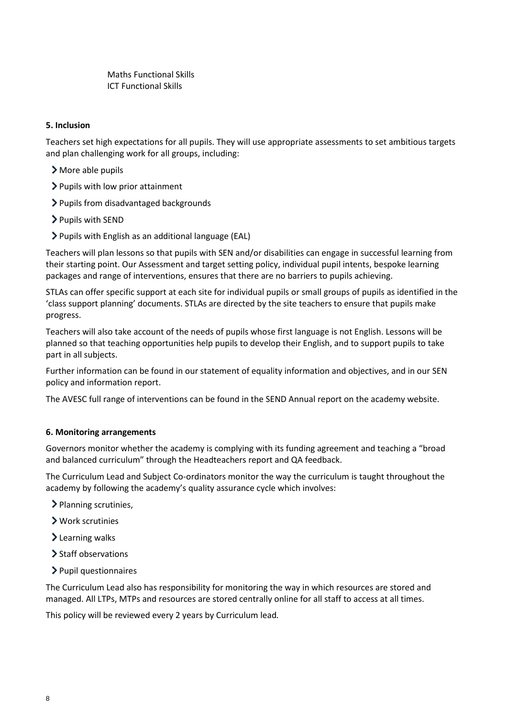Maths Functional Skills ICT Functional Skills

## <span id="page-7-0"></span>**5. Inclusion**

Teachers set high expectations for all pupils. They will use appropriate assessments to set ambitious targets and plan challenging work for all groups, including:

- More able pupils
- > Pupils with low prior attainment
- Pupils from disadvantaged backgrounds
- > Pupils with SEND
- Pupils with English as an additional language (EAL)

Teachers will plan lessons so that pupils with SEN and/or disabilities can engage in successful learning from their starting point. Our Assessment and target setting policy, individual pupil intents, bespoke learning packages and range of interventions, ensures that there are no barriers to pupils achieving.

STLAs can offer specific support at each site for individual pupils or small groups of pupils as identified in the 'class support planning' documents. STLAs are directed by the site teachers to ensure that pupils make progress.

Teachers will also take account of the needs of pupils whose first language is not English. Lessons will be planned so that teaching opportunities help pupils to develop their English, and to support pupils to take part in all subjects.

Further information can be found in our statement of equality information and objectives, and in our SEN policy and information report.

The AVESC full range of interventions can be found in the SEND Annual report on the academy website.

#### <span id="page-7-1"></span>**6. Monitoring arrangements**

Governors monitor whether the academy is complying with its funding agreement and teaching a "broad and balanced curriculum" through the Headteachers report and QA feedback.

The Curriculum Lead and Subject Co-ordinators monitor the way the curriculum is taught throughout the academy by following the academy's quality assurance cycle which involves:

- > Planning scrutinies,
- Work scrutinies
- > Learning walks
- > Staff observations
- $\blacktriangleright$  Pupil questionnaires

The Curriculum Lead also has responsibility for monitoring the way in which resources are stored and managed. All LTPs, MTPs and resources are stored centrally online for all staff to access at all times.

This policy will be reviewed every 2 years by Curriculum lead*.*